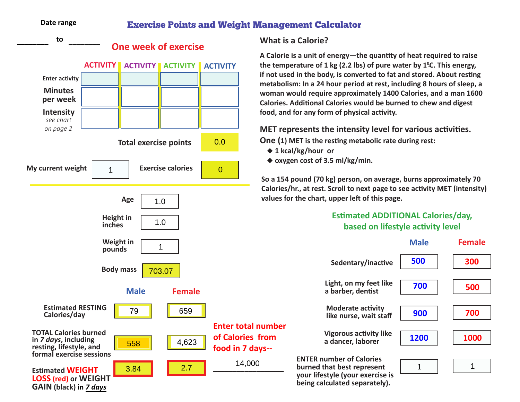## **Date range**

**GAIN (black) in** *7 days*

## Exercise Points and Weight Management Calculator



## **What is a Calorie?**

**A Calorie is a unit of energy—the quantity of heat required to raise the temperature of 1 kg (2.2 lbs) of pure water by 10 C. This energy, if not used in the body, is converted to fat and stored. About resting metabolism: In a 24 hour period at rest, including 8 hours of sleep, a woman would require approximately 1400 Calories, and a man 1600 Calories. Additional Calories would be burned to chew and digest food, and for any form of physical activity.**

**MET represents the intensity level for various activities. One (1) MET is the resting metabolic rate during rest:** 

- ◆ 1 kcal/kg/hour or
- ◆ oxygen cost of 3.5 ml/kg/min.

**So a 154 pound (70 kg) person, on average, burns approximately 70 Calories/hr., at rest. Scroll to next page to see activity MET (intensity) values for the chart, upper left of this page.**

## **Estimated ADDITIONAL Calories/day, based on lifestyle activity level**